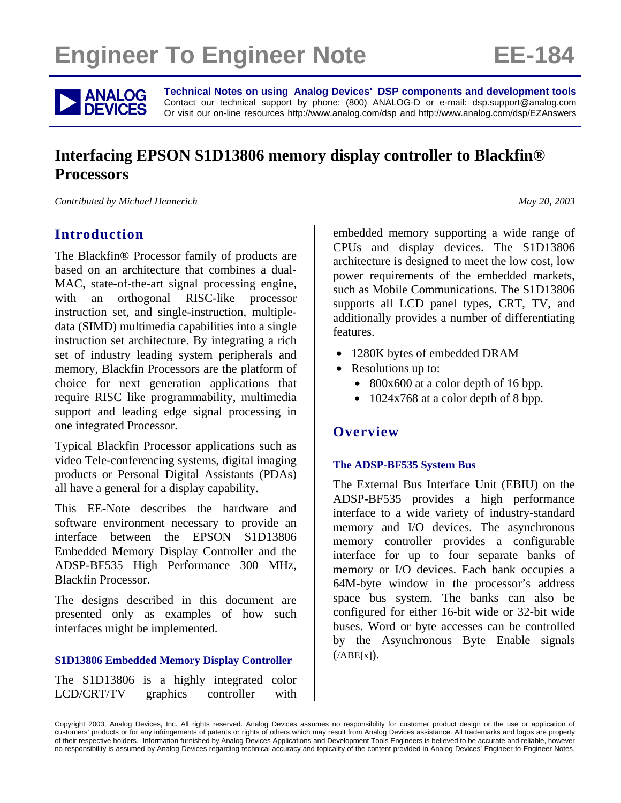# **Engineer To Engineer Note FE-184**



**ANALOG** Technical Notes on using Analog Devices' DSP components and development tools<br> **DEVICES** Or visit our on-line resources http://www.analog.com/dsp and http://www.analog.com/dsp/EZAnswers Contact our technical support by phone: (800) ANALOG-D or e-mail: dsp.support@analog.com Or visit our on-line resources http://www.analog.com/dsp and http://www.analog.com/dsp/EZAnswers

# **Interfacing EPSON S1D13806 memory display controller to Blackfin® Processors**

*Contributed by Michael Hennerich May 20, 2003* 

# **Introduction**

The Blackfin® Processor family of products are based on an architecture that combines a dual-MAC, state-of-the-art signal processing engine, with an orthogonal RISC-like processor instruction set, and single-instruction, multipledata (SIMD) multimedia capabilities into a single instruction set architecture. By integrating a rich set of industry leading system peripherals and memory, Blackfin Processors are the platform of choice for next generation applications that require RISC like programmability, multimedia support and leading edge signal processing in one integrated Processor.

Typical Blackfin Processor applications such as video Tele-conferencing systems, digital imaging products or Personal Digital Assistants (PDAs) all have a general for a display capability.

This EE-Note describes the hardware and software environment necessary to provide an interface between the EPSON S1D13806 Embedded Memory Display Controller and the ADSP-BF535 High Performance 300 MHz, Blackfin Processor.

The designs described in this document are presented only as examples of how such interfaces might be implemented.

#### **S1D13806 Embedded Memory Display Controller**

The S1D13806 is a highly integrated color LCD/CRT/TV graphics controller with embedded memory supporting a wide range of CPUs and display devices. The S1D13806 architecture is designed to meet the low cost, low power requirements of the embedded markets, such as Mobile Communications. The S1D13806 supports all LCD panel types, CRT, TV, and additionally provides a number of differentiating features.

- 1280K bytes of embedded DRAM
- Resolutions up to:
	- 800x600 at a color depth of 16 bpp.
	- 1024x768 at a color depth of 8 bpp.

# **Overview**

#### **The ADSP-BF535 System Bus**

The External Bus Interface Unit (EBIU) on the ADSP-BF535 provides a high performance interface to a wide variety of industry-standard memory and I/O devices. The asynchronous memory controller provides a configurable interface for up to four separate banks of memory or I/O devices. Each bank occupies a 64M-byte window in the processor's address space bus system. The banks can also be configured for either 16-bit wide or 32-bit wide buses. Word or byte accesses can be controlled by the Asynchronous Byte Enable signals  $(ABE[x])$ .

Copyright 2003, Analog Devices, Inc. All rights reserved. Analog Devices assumes no responsibility for customer product design or the use or application of customers' products or for any infringements of patents or rights of others which may result from Analog Devices assistance. All trademarks and logos are property of their respective holders. Information furnished by Analog Devices Applications and Development Tools Engineers is believed to be accurate and reliable, however no responsibility is assumed by Analog Devices regarding technical accuracy and topicality of the content provided in Analog Devices' Engineer-to-Engineer Notes.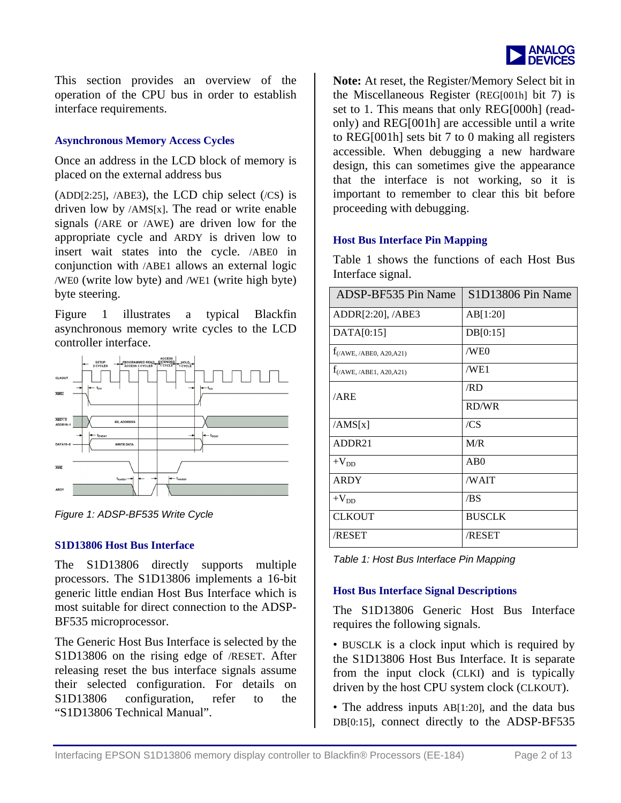

This section provides an overview of the operation of the CPU bus in order to establish interface requirements.

#### **Asynchronous Memory Access Cycles**

Once an address in the LCD block of memory is placed on the external address bus

(ADD[2:25],  $ABE3$ ), the LCD chip select  $(CS)$  is driven low by  $/AMS[x]$ . The read or write enable signals (/ARE or /AWE) are driven low for the appropriate cycle and ARDY is driven low to insert wait states into the cycle. /ABE0 in conjunction with /ABE1 allows an external logic /WE0 (write low byte) and /WE1 (write high byte) byte steering.

[Figure 1](#page-1-0) illustrates a typical Blackfin asynchronous memory write cycles to the LCD controller interface.

<span id="page-1-0"></span>

*Figure 1: ADSP-BF535 Write Cycle*

#### **S1D13806 Host Bus Interface**

The S1D13806 directly supports multiple processors. The S1D13806 implements a 16-bit generic little endian Host Bus Interface which is most suitable for direct connection to the ADSP-BF535 microprocessor.

The Generic Host Bus Interface is selected by the S1D13806 on the rising edge of /RESET. After releasing reset the bus interface signals assume their selected configuration. For details on S1D13806 configuration, refer to the "S1D13806 Technical Manual".

**Note:** At reset, the Register/Memory Select bit in the Miscellaneous Register (REG[001h] bit 7) is set to 1. This means that only REG[000h] (readonly) and REG[001h] are accessible until a write to REG[001h] sets bit 7 to 0 making all registers accessible. When debugging a new hardware design, this can sometimes give the appearance that the interface is not working, so it is important to remember to clear this bit before proceeding with debugging.

#### **Host Bus Interface Pin Mapping**

[Table 1](#page-1-1) shows the functions of each Host Bus Interface signal.

| ADSP-BF535 Pin Name           | S1D13806 Pin Name |
|-------------------------------|-------------------|
| $ADDR[2:20]$ , $ABE3$         | AB[1:20]          |
| DATA[0:15]                    | DB[0:15]          |
| $f_{//AWE, /ABE0, A20, A21)}$ | /WE0              |
| $f_{(/AWE, /ABE1, A20, A21)}$ | /WE1              |
| /ARE                          | /RD               |
|                               | RD/WR             |
| /AMS[x]                       | /CS               |
| ADDR21                        | M/R               |
| $+V_{DD}$                     | AB <sub>0</sub>   |
| <b>ARDY</b>                   | /WAIT             |
| $+V_{DD}$                     | /BS               |
| <b>CLKOUT</b>                 | <b>BUSCLK</b>     |
| /RESET                        | /RESET            |

<span id="page-1-1"></span>*Table 1: Host Bus Interface Pin Mapping*

#### **Host Bus Interface Signal Descriptions**

The S1D13806 Generic Host Bus Interface requires the following signals.

• BUSCLK is a clock input which is required by the S1D13806 Host Bus Interface. It is separate from the input clock (CLKI) and is typically driven by the host CPU system clock (CLKOUT).

• The address inputs AB[1:20], and the data bus DB[0:15], connect directly to the ADSP-BF535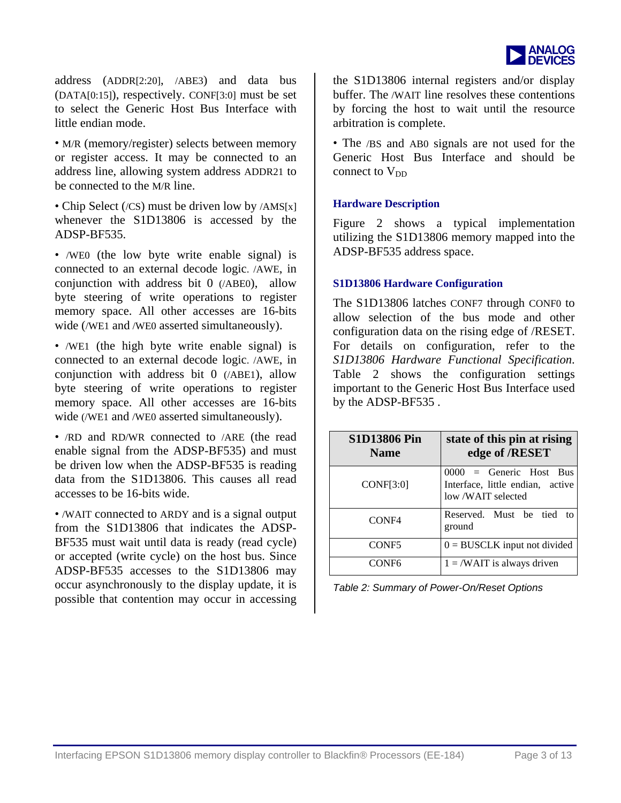

address ( ADDR[2:20] , /ABE3 ) and data bus (DATA[0:15] ), respectively. CONF[3:0] must be set to select the Generic Host Bus Interface with little endian mode.

• M/R (memory/register) selects between memory or register access. It may be connected to an address line, allowing system address ADDR21 to be connected to the M/R line.

• Chip Select (/CS) must be driven low by /AMS[x] whenever the S1D13806 is accessed by the ADSP-BF535.

• /WE0 (the low byte write enable signal) is connected to an external decode logic. /AWE, in conjunction with address bit 0 (/ABE0), allow byte steering of write operations to register memory space. All other accesses are 16-bits wide (/WE1 and /WE0 asserted simultaneously).

• /WE1 (the high byte write enable signal) is connected to an external decode logic. /AWE, in conjunction with address bit 0 (/ABE1), allow byte steering of write operations to register memory space. All other accesses are 16-bits wide (/WE1 and /WE0 asserted simultaneously).

• /RD and RD/WR connected to /ARE (the read enable signal from the ADSP-BF535) and must be driven low when the ADSP-BF535 is reading data from the S1D13806. This causes all read accesses to be 16-bits wide.

• /WAIT connected to ARDY and is a signal output from the S1D13806 that indicates the ADSP-BF535 must wait until data is ready (read cycle) or accepted (write cycle) on the host bus. Since ADSP-BF535 accesses to the S1D13806 may occur asynchronously to the display update, it is possible that contention may occur in accessing the S1D13806 internal registers and/or display buffer. The /WAIT line resolves these contentions by forcing the host to wait until the resource arbitration is complete.

• The /BS and AB0 signals are not used for the Generic Host Bus Interface and should be connect to  $V_{DD}$ 

#### **Hardware Description**

[Figure 2](#page-3-0) shows a typical implementation utilizing the S1D13806 memory mapped into the ADSP-BF535 address space.

#### **S1D13806 Hardware Configuration**

The S1D13806 latches CONF7 through CONF0 to allow selection of the bus mode and other configuration data on the rising edge of /RESET. For details on configuration, refer to the *S1D13806 Hardware Functional Specification*. [Table 2](#page-2-0) shows the configuration settings important to the Generic Host Bus Interface used by the ADSP-BF535 .

| <b>S1D13806 Pin</b><br><b>Name</b> | state of this pin at rising<br>edge of /RESET                                     |
|------------------------------------|-----------------------------------------------------------------------------------|
| <b>CONF[3:0]</b>                   | 0000 = Generic Host Bus<br>Interface, little endian, active<br>low /WAIT selected |
| CONF4                              | Reserved. Must be tied<br>tΩ<br>ground                                            |
| CONF <sub>5</sub>                  | $0 = BUSCLK$ input not divided                                                    |
| CONF6                              | $1 = /WAIT$ is always driven                                                      |

<span id="page-2-0"></span>*Table 2: Summary of Power-On/Reset Options*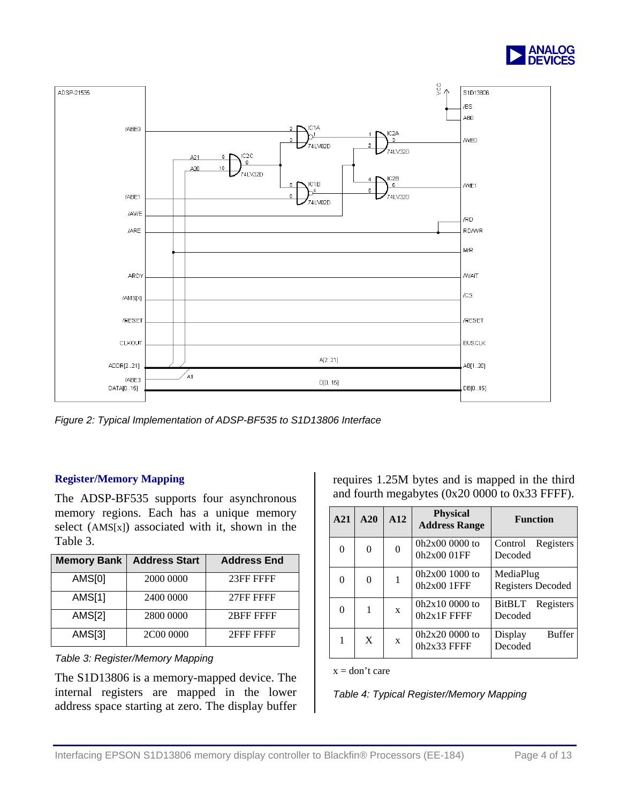

<span id="page-3-0"></span>

*Figure 2: Typical Implementation of ADSP-BF535 to S1D13806 Interface*

#### **Register/Memory Mapping**

The ADSP-BF535 supports four asynchronous memory regions. Each has a unique memory select (AMS[x]) associated with it, shown in the [Table 3.](#page-3-1)

| <b>Memory Bank</b> | <b>Address Start</b> | <b>Address End</b> |
|--------------------|----------------------|--------------------|
| <b>AMS[0]</b>      | 2000 0000            | 23FF FFFF          |
| AMS[1]             | 2400 0000            | 27FF FFFF          |
| <b>AMS[2]</b>      | 2800 0000            | 2BFF FFFF          |
| AMS[3]             | 2C00 0000            | 2FFF FFFF          |

<span id="page-3-1"></span>*Table 3: Register/Memory Mapping* 

The S1D13806 is a memory-mapped device. The internal registers are mapped in the lower address space starting at zero. The display buffer requires 1.25M bytes and is mapped in the third and fourth megabytes (0x20 0000 to 0x33 FFFF).

| A21      | A20      | A12      | <b>Physical</b><br><b>Address Range</b> | <b>Function</b>                       |
|----------|----------|----------|-----------------------------------------|---------------------------------------|
| $\Omega$ | $\Omega$ | $\Omega$ | $0h2x000000$ to<br>0h2x00 01FF          | Registers<br>Control<br>Decoded       |
| $\theta$ | $\Omega$ |          | $0h2x001000$ to<br>$0h2x00$ 1FFF        | MediaPlug<br><b>Registers Decoded</b> |
| 0        | 1        | X        | $0h2x100000$ to<br>$0h2x1F$ FFFF        | <b>BitBLT</b><br>Registers<br>Decoded |
| 1        | X        | X        | $0h2x200000$ to<br>$0h2x33$ FFFF        | <b>Buffer</b><br>Display<br>Decoded   |

 $x = don't care$ 

<span id="page-3-2"></span>*Table 4: Typical Register/Memory Mapping*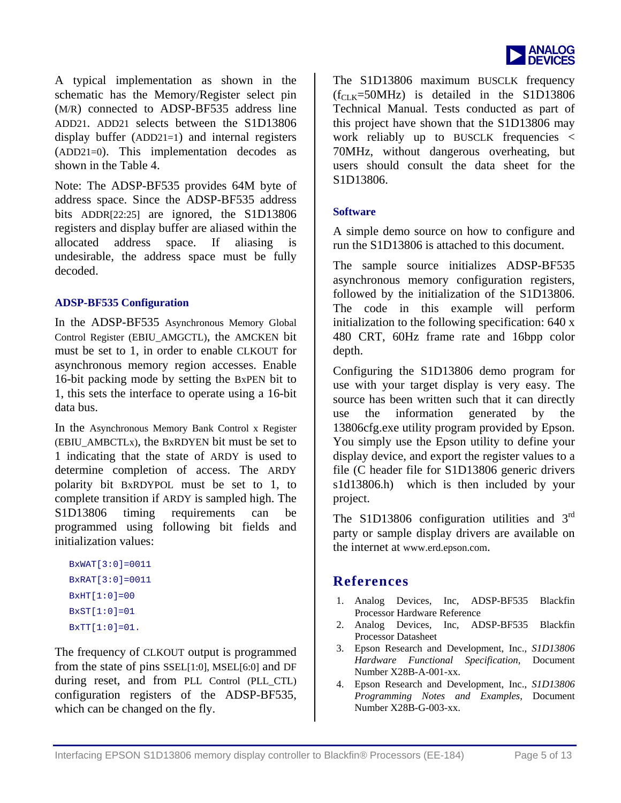

A typical im plementation as shown in the schematic has the Mem ory/Register select pin (M/R) connected to ADSP-BF535 address line ADD21. ADD21 selects between the S1D13806 display buffer (ADD21=1) and internal registers (ADD21=0). This implementation decodes as shown in the [Table 4.](#page-3-2)

Note: The ADSP-BF535 provides 64M byte of address space. Since the ADSP-BF535 address bits ADDR[22:25] are ignored, the S1D13806 registers and display buffer are aliased within the allocated address space. If aliasing is undesirable, the address space must be fully decoded.

#### **ADSP-BF535 Configuration**

In the ADSP-BF535 Asynchronous Memory Global Control Register (EBIU\_AMGCTL), the AMCKEN bit must be set to 1, in order to enable CLKOUT for asynchronous memory region accesses. Enable 16-bit packing mode by setting the BxPEN bit to 1, this sets the interface to operate using a 16-bit data bus.

In the Asynchronous Memory Bank Control x Register (EBIU\_AMBCTLx), the BxRDYEN bit must be set to 1 indicating that the state of ARDY is used to determine completion of access. The ARDY polarity bit BxRDYPOL must be set to 1, to complete transition if ARDY is sampled high. The S1D13806 timing requirements can be programmed using following bit fields and initialization values:

```
BxWAT[3:0]=0011 
BxRAT[3:0]=0011 
BxHT[1:0]=00BxST[1:0]=01BxTT[1:0]=01.
```
The frequency of CLKOUT output is programmed from the state of pins SSEL[1:0], MSEL[6:0] and DF during reset, and from PLL Control (PLL\_CTL) configuration registers of the ADSP-BF535, which can be changed on the fly.

The S1D13806 maximum BUSCLK frequency  $(f_{CLK} = 50MHz)$  is detailed in the S1D13806 Technical Manual. Tests conducted as part of this project have shown that the S1D13806 may work reliably up to BUSCLK frequencies < 70MHz, without dangerous overheating, but users should consult the data sheet for the S1D13806.

#### **Software**

A simple demo source on how to configure and run the S1D13806 is attached to this document.

The sample source initializes ADSP-BF535 asynchronous memory configuration registers, followed by the initialization of the S1D13806. The code in this example will perform initialization to the following specification: 640 x 480 CRT, 60Hz frame rate and 16bpp color depth.

Configuring the S1D13806 demo program for use with your target display is very easy. The source has been written such that it can directly use the information generated by the 13806cfg.exe utility program provided by Epson. You simply use the Epson utility to define your display device, and export the register values to a file (C header file for S1D13806 generic drivers s1d13806.h) which is then included by your project.

The S1D13806 configuration utilities and 3<sup>rd</sup> party or sample display drivers are available on the internet at www.erd.epson.com.

### **References**

- 1. Analog Devices, Inc, ADSP-BF535 Blackfin Processor Hardware Reference
- 2. Analog Devices, Inc, ADSP-BF535 Blackfin Processor Datasheet
- 3. Epson Research and Development, Inc., *S1D13806 Hardware Functional Specification*, Document Number X28B-A-001-xx.
- 4. Epson Research and Development, Inc., *S1D13806 Programming Notes and Examples*, Document Number X28B-G-003-xx.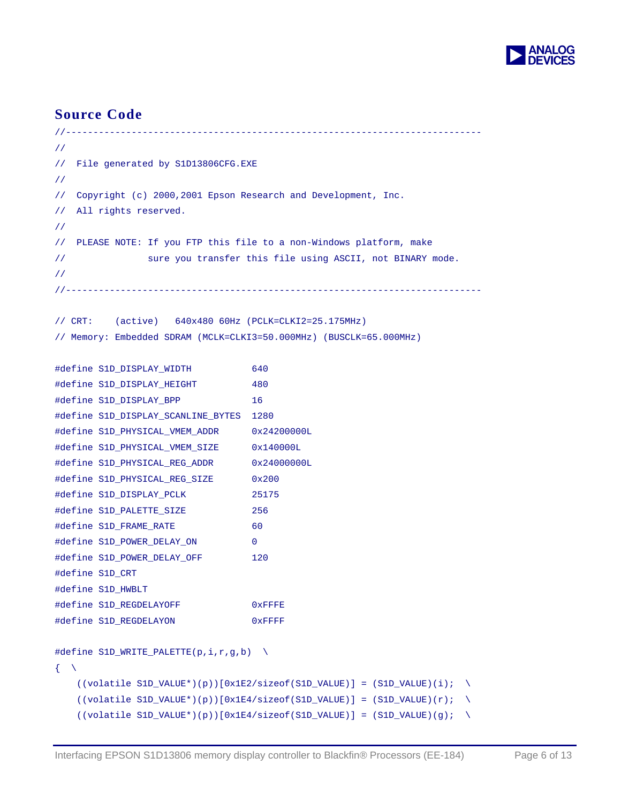

## **Source Code**

```
//---------------------------------------------------------------------------- 
// 
// File generated by S1D13806CFG.EXE 
// 
// Copyright (c) 2000,2001 Epson Research and Development, Inc. 
// All rights reserved. 
// 
// PLEASE NOTE: If you FTP this file to a non-Windows platform, make 
// sure you transfer this file using ASCII, not BINARY mode. 
// 
//---------------------------------------------------------------------------- 
// CRT: (active) 640x480 60Hz (PCLK=CLKI2=25.175MHz) 
// Memory: Embedded SDRAM (MCLK=CLKI3=50.000MHz) (BUSCLK=65.000MHz) 
#define S1D_DISPLAY_WIDTH 640 
#define S1D_DISPLAY_HEIGHT 480 
#define S1D_DISPLAY_BPP 16
```

```
#define S1D_DISPLAY_SCANLINE_BYTES 1280 
#define S1D_PHYSICAL_VMEM_ADDR 0x24200000L 
#define S1D_PHYSICAL_VMEM_SIZE 0x140000L 
#define S1D_PHYSICAL_REG_ADDR 0x24000000L 
#define S1D_PHYSICAL_REG_SIZE 0x200
#define S1D_DISPLAY_PCLK 25175 
#define S1D_PALETTE_SIZE 256 
#define S1D_FRAME_RATE 60
#define S1D_POWER_DELAY_ON 0 
#define S1D_POWER_DELAY_OFF 120 
#define S1D_CRT 
#define S1D_HWBLT 
#define S1D_REGDELAYOFF 0xFFFE
#define S1D_REGDELAYON 0xFFFF
```

```
#define S1D_WRITE_PALETTE(p,i,r,g,b) \setminus\left\{ \begin{array}{c} \end{array} \right\}((\text{volatile SID\_VALUE*})(p))[0x1E2/sizeof(S1D\_VALUE)] = (S1D\_VALUE)(i); \ \ \ \ \ \ \((\text{volatile SID\_VALUE*})(p))[0x1E4/sizeof(S1D_VALUE)] = (S1D_VALUE)(r); \
     ((\text{volatile SID\_VALUE*})(p))[0x1E4/sizeof(S1D_VALUE)] = (S1D_VALUE)(g); \
```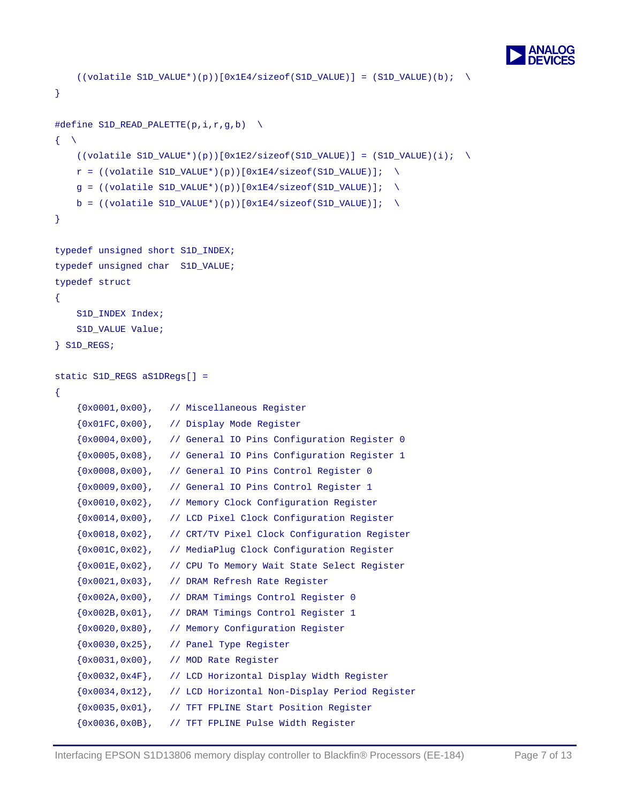

```
((\text{volatile SID\_VALUE*})(p))[0x1E4/sizeof(S1D_VALUE)] = (S1D_VALUE)(b); \
} 
#define S1D_READ_PALETTE(p,i,r,g,b) \setminus\left\{ \begin{array}{c} \end{array} \right.((\text{volatile SID\_VALUE*})(p))[0x1E2/sizeof(S1D\_VALUE)] = (S1D\_VALUE)(i); \ \ \ \ \ \ \r = ((volationile SID_VALUE*)(p))[0x1E4/sizeof(S1D_VALUE));
    q = ((volation1e S1D VALUE*)(p))[0x1E4/sizeof(S1D VALUE)]; \quad \b = ((volation1E * (p))[0x1E4/sizeof(S1DVALUE));
} 
typedef unsigned short S1D_INDEX; 
typedef unsigned char S1D_VALUE; 
typedef struct 
{ 
    S1D_INDEX Index;
     S1D_VALUE Value; 
} S1D_REGS; 
static S1D_REGS aS1DRegs[] =
{ 
     {0x0001,0x00}, // Miscellaneous Register 
     {0x01FC,0x00}, // Display Mode Register 
     {0x0004,0x00}, // General IO Pins Configuration Register 0 
     {0x0005,0x08}, // General IO Pins Configuration Register 1 
     {0x0008,0x00}, // General IO Pins Control Register 0 
     {0x0009,0x00}, // General IO Pins Control Register 1 
     {0x0010,0x02}, // Memory Clock Configuration Register 
     {0x0014,0x00}, // LCD Pixel Clock Configuration Register 
     {0x0018,0x02}, // CRT/TV Pixel Clock Configuration Register 
     {0x001C,0x02}, // MediaPlug Clock Configuration Register 
     {0x001E,0x02}, // CPU To Memory Wait State Select Register 
     {0x0021,0x03}, // DRAM Refresh Rate Register 
     {0x002A,0x00}, // DRAM Timings Control Register 0 
     {0x002B,0x01}, // DRAM Timings Control Register 1 
     {0x0020,0x80}, // Memory Configuration Register 
     {0x0030,0x25}, // Panel Type Register 
     {0x0031,0x00}, // MOD Rate Register 
     {0x0032,0x4F}, // LCD Horizontal Display Width Register 
     {0x0034,0x12}, // LCD Horizontal Non-Display Period Register 
     {0x0035,0x01}, // TFT FPLINE Start Position Register 
     {0x0036,0x0B}, // TFT FPLINE Pulse Width Register
```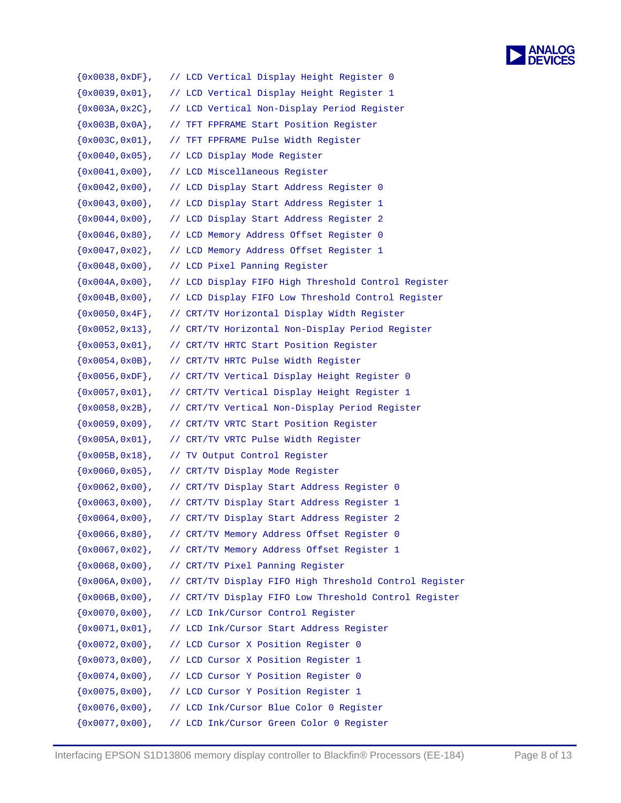```
ANALOG<br>DEVICES
```

| ${0x0038,0xDF}$ ,    | // LCD Vertical Display Height Register 0              |
|----------------------|--------------------------------------------------------|
| $\{0x0039, 0x01\}$ , | // LCD Vertical Display Height Register 1              |
| $\{0x003A, 0x2C\}$ , | // LCD Vertical Non-Display Period Register            |
| $\{0x003B, 0x0A\}$ , | // TFT FPFRAME Start Position Register                 |
| $\{0x003C, 0x01\}$ , | // TFT FPFRAME Pulse Width Register                    |
| $\{0x0040, 0x05\}$ , | // LCD Display Mode Register                           |
| $\{0x0041, 0x00\}$ , | // LCD Miscellaneous Register                          |
| $\{0x0042, 0x00\}$ , | // LCD Display Start Address Register 0                |
| $\{0x0043, 0x00\}$ , | // LCD Display Start Address Register 1                |
| $\{0x0044, 0x00\}$ , | // LCD Display Start Address Register 2                |
| $\{0x0046, 0x80\}$ , | // LCD Memory Address Offset Register 0                |
| $\{0x0047, 0x02\}$ , | // LCD Memory Address Offset Register 1                |
| $\{0x0048, 0x00\}$ , | // LCD Pixel Panning Register                          |
| $\{0x004A, 0x00\}$ , | // LCD Display FIFO High Threshold Control Register    |
| $\{0x004B, 0x00\}$ , | // LCD Display FIFO Low Threshold Control Register     |
| $\{0x0050, 0x4F\}$ , | // CRT/TV Horizontal Display Width Register            |
| $\{0x0052, 0x13\}$ , | // CRT/TV Horizontal Non-Display Period Register       |
| $\{0x0053, 0x01\}$ , | // CRT/TV HRTC Start Position Register                 |
| $\{0x0054, 0x0B\}$ , | // CRT/TV HRTC Pulse Width Register                    |
| $\{0x0056, 0xDF\}$ , | // CRT/TV Vertical Display Height Register 0           |
| $\{0x0057, 0x01\}$ , | // CRT/TV Vertical Display Height Register 1           |
| $\{0x0058, 0x2B\}$ , | // CRT/TV Vertical Non-Display Period Register         |
| $\{0x0059, 0x09\}$ , | // CRT/TV VRTC Start Position Register                 |
| $\{0x005A, 0x01\}$ , | // CRT/TV VRTC Pulse Width Register                    |
| $\{0x005B, 0x18\}$ , | // TV Output Control Register                          |
| $\{0x0060, 0x05\}$ , | // CRT/TV Display Mode Register                        |
| $\{0x0062, 0x00\}$ , | // CRT/TV Display Start Address Register 0             |
| $\{0x0063, 0x00\}$ , | // CRT/TV Display Start Address Register 1             |
| $\{0x0064, 0x00\}$ , | // CRT/TV Display Start Address Register 2             |
| $\{0x0066, 0x80\}$ , | // CRT/TV Memory Address Offset Register 0             |
| $\{0x0067, 0x02\}$ , | // CRT/TV Memory Address Offset Register 1             |
| $\{0x0068, 0x00\}$ , | // CRT/TV Pixel Panning Register                       |
| $\{0x006A, 0x00\}$ , | // CRT/TV Display FIFO High Threshold Control Register |
| $\{0x006B, 0x00\}$ , | // CRT/TV Display FIFO Low Threshold Control Register  |
| $\{0x0070, 0x00\}$ , | // LCD Ink/Cursor Control Register                     |
| $\{0x0071, 0x01\}$ , | // LCD Ink/Cursor Start Address Register               |
| $\{0x0072, 0x00\}$ , | // LCD Cursor X Position Register 0                    |
| $\{0x0073, 0x00\}$ , | // LCD Cursor X Position Register 1                    |
| $\{0x0074, 0x00\}$ , | // LCD Cursor Y Position Register 0                    |
| $\{0x0075, 0x00\}$ , | // LCD Cursor Y Position Register 1                    |
| $\{0x0076, 0x00\}$ , | // LCD Ink/Cursor Blue Color 0 Register                |
| $\{0x0077, 0x00\}$ , | // LCD Ink/Cursor Green Color 0 Register               |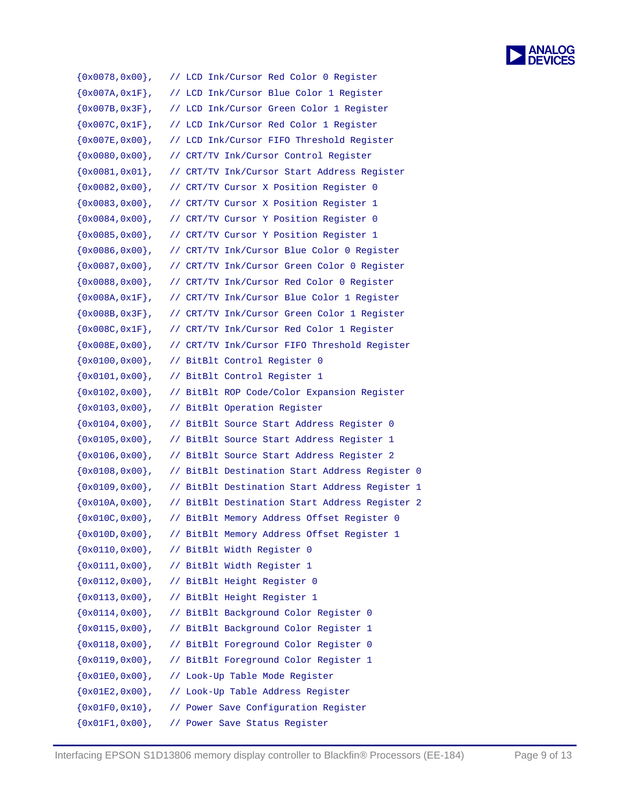

| $\{0x0078, 0x00\}$ , | // LCD Ink/Cursor Red Color 0 Register                 |
|----------------------|--------------------------------------------------------|
| $\{0x007A, 0x1F\}$ , | // LCD Ink/Cursor Blue Color 1 Register                |
| $\{0x007B, 0x3F\}$ , | // LCD Ink/Cursor Green Color 1 Register               |
| $\{0x007C, 0x1F\}$ , | // LCD Ink/Cursor Red Color 1 Register                 |
| ${0x007E, 0x00}$ ,   | // LCD Ink/Cursor FIFO Threshold Register              |
| $\{0x0080, 0x00\}$ , | // CRT/TV Ink/Cursor Control Register                  |
| $\{0x0081, 0x01\}$ , | // CRT/TV Ink/Cursor Start Address Register            |
| $\{0x0082, 0x00\}$ , | // CRT/TV Cursor X Position Register 0                 |
| $\{0x0083, 0x00\}$ , | // CRT/TV Cursor X Position Register 1                 |
| $\{0x0084, 0x00\}$ , | // CRT/TV Cursor Y Position Register 0                 |
| $\{0x0085, 0x00\}$ , | // CRT/TV Cursor Y Position Register 1                 |
| $\{0x0086, 0x00\}$ , | // CRT/TV Ink/Cursor Blue Color 0 Register             |
| $\{0x0087, 0x00\}$ , | // CRT/TV Ink/Cursor Green Color 0 Register            |
| $\{0x0088, 0x00\}$ , | // CRT/TV Ink/Cursor Red Color 0 Register              |
| $\{0x008A, 0x1F\}$ , | // CRT/TV Ink/Cursor Blue Color 1 Register             |
| $\{0x008B, 0x3F\}$ , | // CRT/TV Ink/Cursor Green Color 1 Register            |
| $\{0x008C, 0x1F\}$ , | // CRT/TV Ink/Cursor Red Color 1 Register              |
| ${0x008E, 0x00}$ ,   | // CRT/TV Ink/Cursor FIFO Threshold Register           |
| $\{0x0100, 0x00\}$ , | // BitBlt Control Register 0                           |
| $\{0x0101, 0x00\}$ , | // BitBlt Control Register 1                           |
| $\{0x0102, 0x00\}$ , | // BitBlt ROP Code/Color Expansion Register            |
| $\{0x0103, 0x00\}$ , | // BitBlt Operation Register                           |
| $\{0x0104, 0x00\}$ , | // BitBlt Source Start Address Register 0              |
| $\{0x0105, 0x00\}$ , | // BitBlt Source Start Address Register 1              |
| $\{0x0106, 0x00\}$ , | // BitBlt Source Start Address Register 2              |
| $\{0x0108, 0x00\}$ , | // BitBlt Destination Start Address Register 0         |
| $\{0x0109, 0x00\}$ , | // BitBlt Destination Start Address Register 1         |
| $\{0x010A, 0x00\}$ , | // BitBlt Destination Start Address Register 2         |
| ${0x010C, 0x00},$    | // BitBlt Memory Address Offset Register 0             |
| $\{0x010D, 0x00\}$ , | // BitBlt Memory Address Offset Register 1             |
| $\{0x0110, 0x00\}$ , | // BitBlt Width Register 0                             |
| $\{0x0111, 0x00\}$ , | // BitBlt Width Register 1                             |
|                      | $\{0x0112, 0x00\},$ // BitBlt Height Register 0        |
| $\{0x0113, 0x00\}$ , | // BitBlt Height Register 1                            |
| $\{0x0114, 0x00\}$ , | // BitBlt Background Color Register 0                  |
| $\{0x0115, 0x00\}$ , | // BitBlt Background Color Register 1                  |
| $\{0x0118, 0x00\}$ , | // BitBlt Foreground Color Register 0                  |
| $\{0x0119, 0x00\}$ , | // BitBlt Foreground Color Register 1                  |
| ${0x01E0,0x00}$ ,    | // Look-Up Table Mode Register                         |
|                      | $\{0x01E2, 0x00\}$ , // Look-Up Table Address Register |
| ${0x01F0, 0x10}$ ,   | // Power Save Configuration Register                   |
| ${0x01F1,0x00}$ ,    | // Power Save Status Register                          |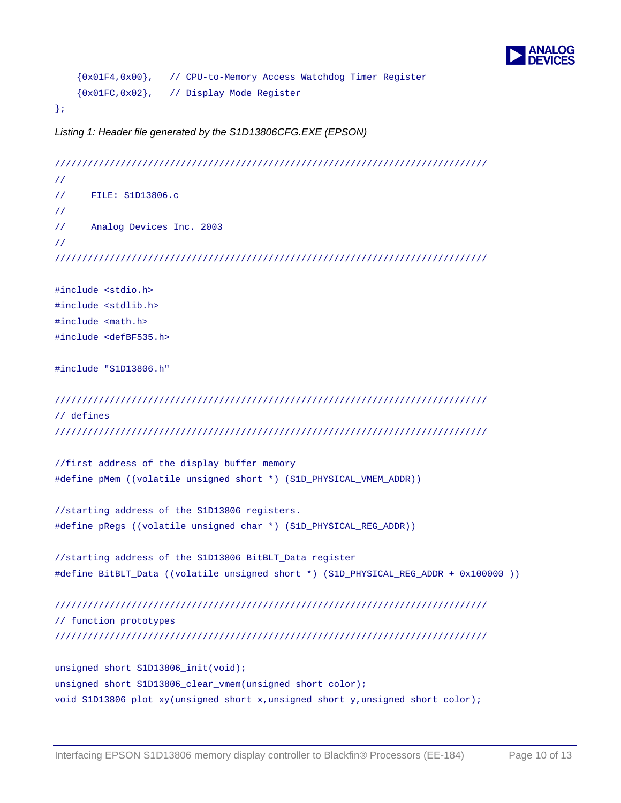

```
 {0x01F4,0x00}, // CPU-to-Memory Access Watchdog Timer Register 
     {0x01FC,0x02}, // Display Mode Register 
};
```
*Listing 1: Header file generated by the S1D13806CFG.EXE (EPSON)* 

```
/////////////////////////////////////////////////////////////////////////////// 
// 
// FILE: S1D13806.c 
// 
// Analog Devices Inc. 2003 
// 
/////////////////////////////////////////////////////////////////////////////// 
#include <stdio.h> 
#include <stdlib.h> 
#include <math.h> 
#include <defBF535.h> 
#include "S1D13806.h" 
/////////////////////////////////////////////////////////////////////////////// 
// defines 
/////////////////////////////////////////////////////////////////////////////// 
//first address of the display buffer memory 
#define pMem ((volatile unsigned short *) (S1D_PHYSICAL_VMEM_ADDR)) 
//starting address of the S1D13806 registers. 
#define pRegs ((volatile unsigned char *) (S1D_PHYSICAL_REG_ADDR)) 
//starting address of the S1D13806 BitBLT_Data register 
#define BitBLT_Data ((volatile unsigned short *) (S1D_PHYSICAL_REG_ADDR + 0x100000 )) 
/////////////////////////////////////////////////////////////////////////////// 
// function prototypes 
/////////////////////////////////////////////////////////////////////////////// 
unsigned short S1D13806_init(void); 
unsigned short S1D13806_clear_vmem(unsigned short color);
```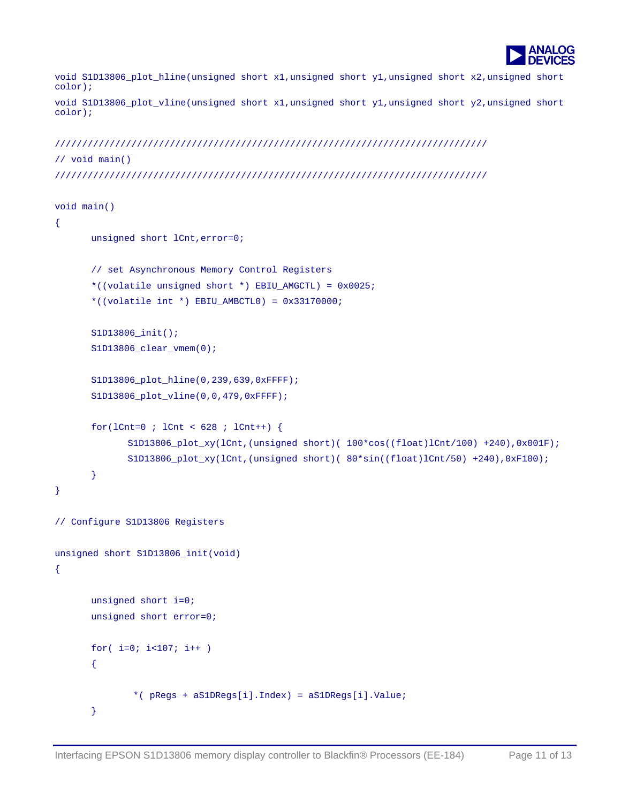

void S1D13806\_plot\_hline(unsigned short x1,unsigned short y1,unsigned short x2,unsigned short color);

void S1D13806\_plot\_vline(unsigned short x1,unsigned short y1,unsigned short y2,unsigned short color);

```
/////////////////////////////////////////////////////////////////////////////// 
// void main() 
///////////////////////////////////////////////////////////////////////////////
```

```
void main() 
{ 
      unsigned short lCnt,error=0; 
       // set Asynchronous Memory Control Registers 
       *((volatile unsigned short *) EBIU_AMGCTL) = 0x0025; 
       *((volatile int *) EBIU_AMBCTL0) = 0x33170000; 
       S1D13806_init(); 
       S1D13806 clear vmem(0);
      S1D13806_plot_hline(0,239,639,0xFFFF);
       S1D13806_plot_vline(0,0,479,0xFFFF); 
       for(lCnt=0 ; lCnt < 628 ; lCnt++) {
               S1D13806_plot_xy(lCnt,(unsigned short)( 100*cos((float)lCnt/100) +240),0x001F); 
               S1D13806_plot_xy(lCnt,(unsigned short)( 80*sin((float)lCnt/50) +240),0xF100); 
        } 
} 
// Configure S1D13806 Registers 
unsigned short S1D13806_init(void) 
{ 
      unsigned short i=0; 
      unsigned short error=0; 
       for( i=0; i<107; i++ ) 
       { 
                *( pRegs + aS1DRegs[i].Index) = aS1DRegs[i].Value; 
        }
```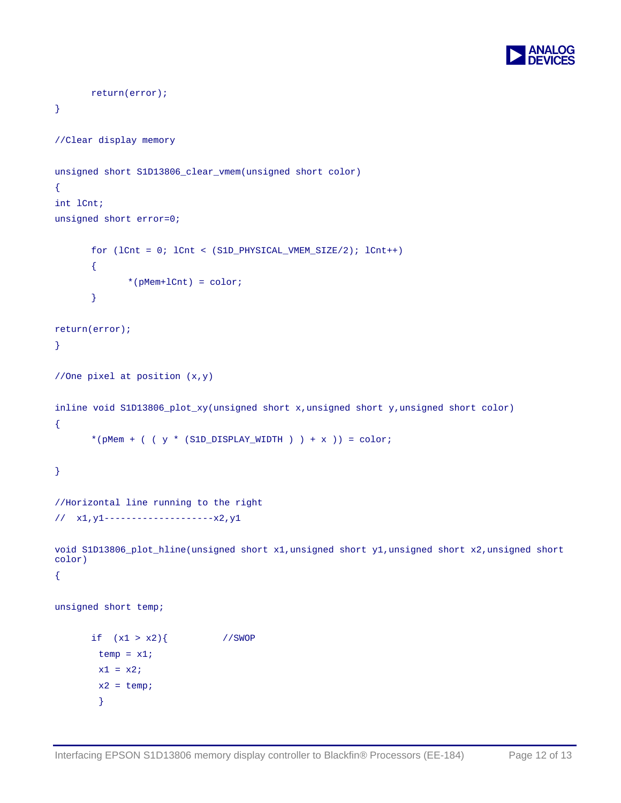

```
 return(error); 
} 
//Clear display memory 
unsigned short S1D13806_clear_vmem(unsigned short color) 
{ 
int lCnt; 
unsigned short error=0; 
       for (lCnt = 0; lCnt < (S1D_PHYSICAL_VMEM_SIZE/2); lCnt++) 
        { 
              *(pMem+lCnt) = color; 
        } 
return(error); 
} 
//One pixel at position (x,y) 
inline void S1D13806_plot_xy(unsigned short x,unsigned short y,unsigned short color) 
{ 
       *(pMem + ( ( y * (S1D_DISPLAY_WIDTH ) ) + x )) = color;
} 
//Horizontal line running to the right 
// x1,y1--------------------x2,y1 
void S1D13806_plot_hline(unsigned short x1,unsigned short y1,unsigned short x2,unsigned short 
color) 
{ 
unsigned short temp; 
      if (x1 > x2) //SWOP
        temp = x1;x1 = x2;x2 = temp; }
```